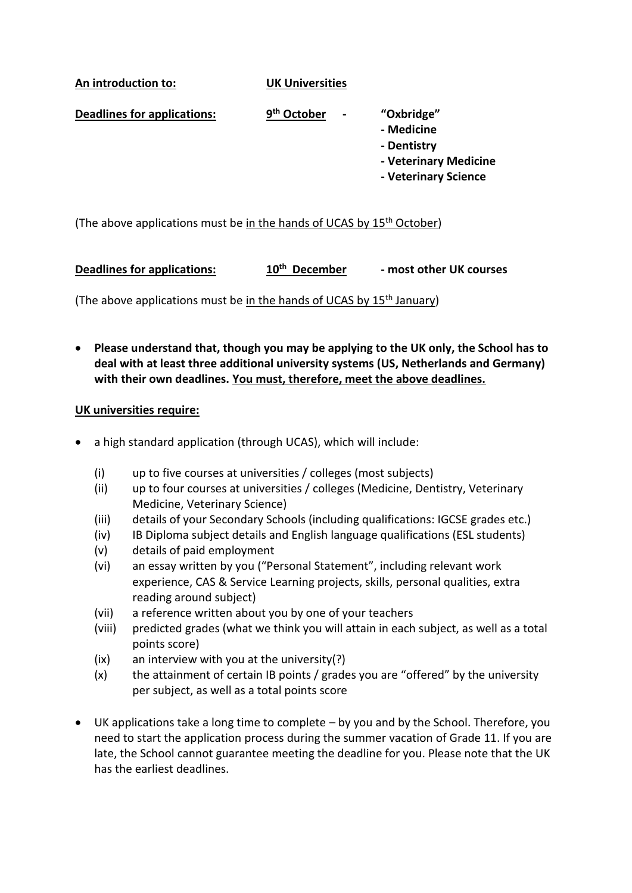**An introduction to: UK Universities**

**Deadlines for applications: 9 th October - "Oxbridge"**

- **- Medicine**
- **- Dentistry**
- **- Veterinary Medicine**
- **- Veterinary Science**

(The above applications must be in the hands of UCAS by 15<sup>th</sup> October)

**Deadlines for applications: 10<sup>th</sup> December th December - most other UK courses**

(The above applications must be in the hands of UCAS by  $15<sup>th</sup>$  January)

• **Please understand that, though you may be applying to the UK only, the School has to deal with at least three additional university systems (US, Netherlands and Germany) with their own deadlines. You must, therefore, meet the above deadlines.**

## **UK universities require:**

- a high standard application (through UCAS), which will include:
	- (i) up to five courses at universities / colleges (most subjects)
	- (ii) up to four courses at universities / colleges (Medicine, Dentistry, Veterinary Medicine, Veterinary Science)
	- (iii) details of your Secondary Schools (including qualifications: IGCSE grades etc.)
	- (iv) IB Diploma subject details and English language qualifications (ESL students)
	- (v) details of paid employment
	- (vi) an essay written by you ("Personal Statement", including relevant work experience, CAS & Service Learning projects, skills, personal qualities, extra reading around subject)
	- (vii) a reference written about you by one of your teachers
	- (viii) predicted grades (what we think you will attain in each subject, as well as a total points score)
	- (ix) an interview with you at the university(?)
	- (x) the attainment of certain IB points / grades you are "offered" by the university per subject, as well as a total points score
- UK applications take a long time to complete by you and by the School. Therefore, you need to start the application process during the summer vacation of Grade 11. If you are late, the School cannot guarantee meeting the deadline for you. Please note that the UK has the earliest deadlines.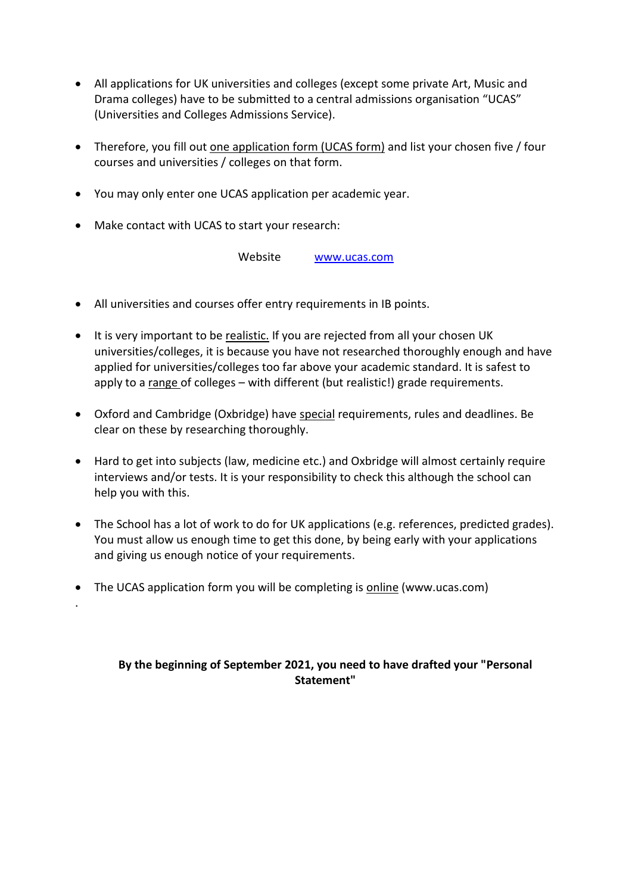- All applications for UK universities and colleges (except some private Art, Music and Drama colleges) have to be submitted to a central admissions organisation "UCAS" (Universities and Colleges Admissions Service).
- Therefore, you fill out one application form (UCAS form) and list your chosen five / four courses and universities / colleges on that form.
- You may only enter one UCAS application per academic year.
- Make contact with UCAS to start your research:

.

Website [www.ucas.com](http://www.ucas.com/)

- All universities and courses offer entry requirements in IB points.
- It is very important to be realistic. If you are rejected from all your chosen UK universities/colleges, it is because you have not researched thoroughly enough and have applied for universities/colleges too far above your academic standard. It is safest to apply to a range of colleges – with different (but realistic!) grade requirements.
- Oxford and Cambridge (Oxbridge) have special requirements, rules and deadlines. Be clear on these by researching thoroughly.
- Hard to get into subjects (law, medicine etc.) and Oxbridge will almost certainly require interviews and/or tests. It is your responsibility to check this although the school can help you with this.
- The School has a lot of work to do for UK applications (e.g. references, predicted grades). You must allow us enough time to get this done, by being early with your applications and giving us enough notice of your requirements.
- The UCAS application form you will be completing is online (www.ucas.com)

## **By the beginning of September 2021, you need to have drafted your "Personal Statement"**